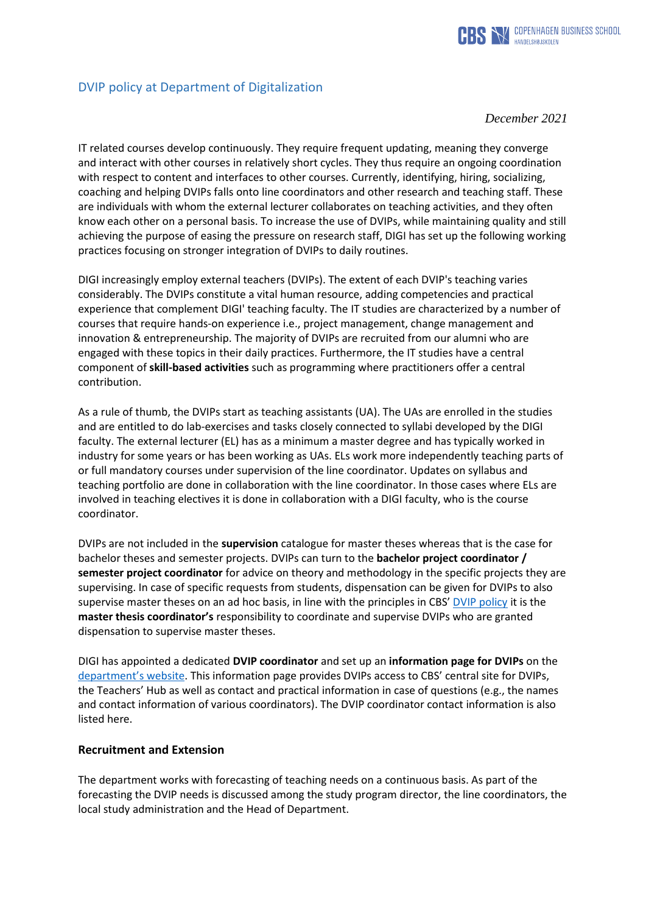

# DVIP policy at Department of Digitalization

#### *December 2021*

IT related courses develop continuously. They require frequent updating, meaning they converge and interact with other courses in relatively short cycles. They thus require an ongoing coordination with respect to content and interfaces to other courses. Currently, identifying, hiring, socializing, coaching and helping DVIPs falls onto line coordinators and other research and teaching staff. These are individuals with whom the external lecturer collaborates on teaching activities, and they often know each other on a personal basis. To increase the use of DVIPs, while maintaining quality and still achieving the purpose of easing the pressure on research staff, DIGI has set up the following working practices focusing on stronger integration of DVIPs to daily routines.

DIGI increasingly employ external teachers (DVIPs). The extent of each DVIP's teaching varies considerably. The DVIPs constitute a vital human resource, adding competencies and practical experience that complement DIGI' teaching faculty. The IT studies are characterized by a number of courses that require hands-on experience i.e., project management, change management and innovation & entrepreneurship. The majority of DVIPs are recruited from our alumni who are engaged with these topics in their daily practices. Furthermore, the IT studies have a central component of **skill-based activities** such as programming where practitioners offer a central contribution.

As a rule of thumb, the DVIPs start as teaching assistants (UA). The UAs are enrolled in the studies and are entitled to do lab-exercises and tasks closely connected to syllabi developed by the DIGI faculty. The external lecturer (EL) has as a minimum a master degree and has typically worked in industry for some years or has been working as UAs. ELs work more independently teaching parts of or full mandatory courses under supervision of the line coordinator. Updates on syllabus and teaching portfolio are done in collaboration with the line coordinator. In those cases where ELs are involved in teaching electives it is done in collaboration with a DIGI faculty, who is the course coordinator.

DVIPs are not included in the **supervision** catalogue for master theses whereas that is the case for bachelor theses and semester projects. DVIPs can turn to the **bachelor project coordinator / semester project coordinator** for advice on theory and methodology in the specific projects they are supervising. In case of specific requests from students, dispensation can be given for DVIPs to also supervise master theses on an ad hoc basis, in line with the principles in CBS' [DVIP policy](https://www.cbs.dk/files/cbs.dk/managing_part-time_faculty_at_cbs.pdf) it is the **master thesis coordinator's** responsibility to coordinate and supervise DVIPs who are granted dispensation to supervise master theses.

DIGI has appointed a dedicated **DVIP coordinator** and set up an **information page for DVIPs** on the [department's website](https://www.cbs.dk/en/research/departments-and-centres/department-of-digitalization/external-lecturers). This information page provides DVIPs access to CBS' central site for DVIPs, the Teachers' Hub as well as contact and practical information in case of questions (e.g., the names and contact information of various coordinators). The DVIP coordinator contact information is also listed here.

#### **Recruitment and Extension**

The department works with forecasting of teaching needs on a continuous basis. As part of the forecasting the DVIP needs is discussed among the study program director, the line coordinators, the local study administration and the Head of Department.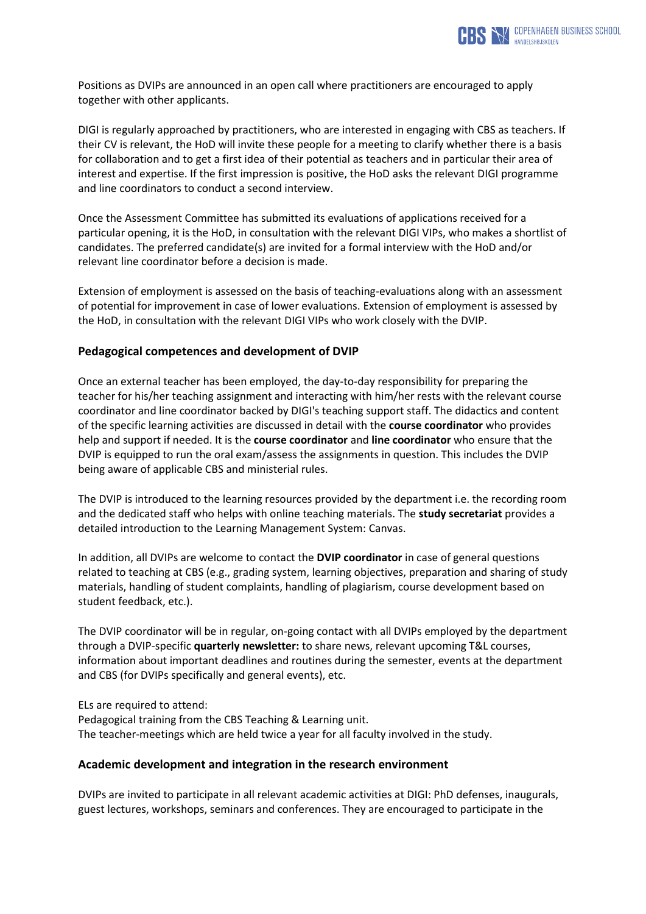

Positions as DVIPs are announced in an open call where practitioners are encouraged to apply together with other applicants.

DIGI is regularly approached by practitioners, who are interested in engaging with CBS as teachers. If their CV is relevant, the HoD will invite these people for a meeting to clarify whether there is a basis for collaboration and to get a first idea of their potential as teachers and in particular their area of interest and expertise. If the first impression is positive, the HoD asks the relevant DIGI programme and line coordinators to conduct a second interview.

Once the Assessment Committee has submitted its evaluations of applications received for a particular opening, it is the HoD, in consultation with the relevant DIGI VIPs, who makes a shortlist of candidates. The preferred candidate(s) are invited for a formal interview with the HoD and/or relevant line coordinator before a decision is made.

Extension of employment is assessed on the basis of teaching-evaluations along with an assessment of potential for improvement in case of lower evaluations. Extension of employment is assessed by the HoD, in consultation with the relevant DIGI VIPs who work closely with the DVIP.

## **Pedagogical competences and development of DVIP**

Once an external teacher has been employed, the day-to-day responsibility for preparing the teacher for his/her teaching assignment and interacting with him/her rests with the relevant course coordinator and line coordinator backed by DIGI's teaching support staff. The didactics and content of the specific learning activities are discussed in detail with the **course coordinator** who provides help and support if needed. It is the **course coordinator** and **line coordinator** who ensure that the DVIP is equipped to run the oral exam/assess the assignments in question. This includes the DVIP being aware of applicable CBS and ministerial rules.

The DVIP is introduced to the learning resources provided by the department i.e. the recording room and the dedicated staff who helps with online teaching materials. The **study secretariat** provides a detailed introduction to the Learning Management System: Canvas.

In addition, all DVIPs are welcome to contact the **DVIP coordinator** in case of general questions related to teaching at CBS (e.g., grading system, learning objectives, preparation and sharing of study materials, handling of student complaints, handling of plagiarism, course development based on student feedback, etc.).

The DVIP coordinator will be in regular, on-going contact with all DVIPs employed by the department through a DVIP-specific **quarterly newsletter:** to share news, relevant upcoming T&L courses, information about important deadlines and routines during the semester, events at the department and CBS (for DVIPs specifically and general events), etc.

ELs are required to attend:

Pedagogical training from the CBS Teaching & Learning unit. The teacher-meetings which are held twice a year for all faculty involved in the study.

## **Academic development and integration in the research environment**

DVIPs are invited to participate in all relevant academic activities at DIGI: PhD defenses, inaugurals, guest lectures, workshops, seminars and conferences. They are encouraged to participate in the